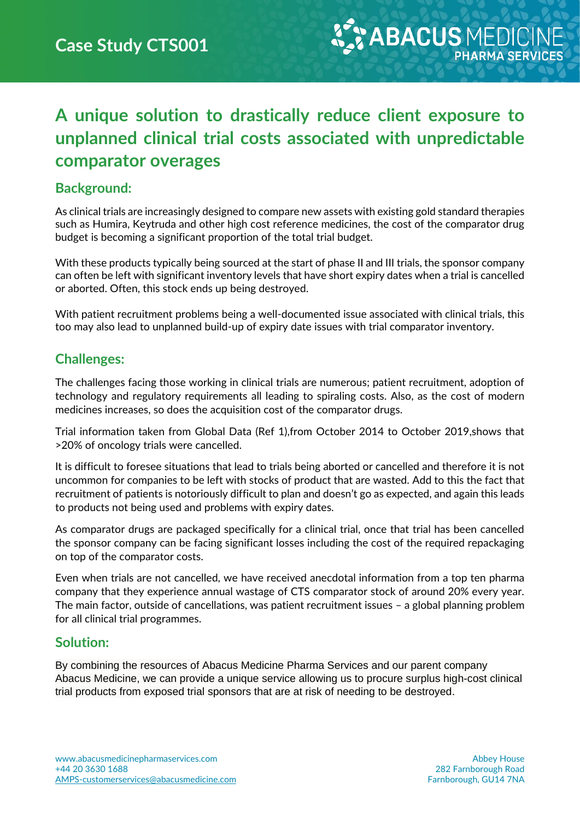# **A unique solution to drastically reduce client exposure to unplanned clinical trial costs associated with unpredictable comparator overages**

#### **Background:**

As clinical trials are increasingly designed to compare new assets with existing gold standard therapies such as Humira, Keytruda and other high cost reference medicines, the cost of the comparator drug budget is becoming a significant proportion of the total trial budget.

With these products typically being sourced at the start of phase II and III trials, the sponsor company can often be left with significant inventory levels that have short expiry dates when a trial is cancelled or aborted. Often, this stock ends up being destroyed.

With patient recruitment problems being a well-documented issue associated with clinical trials, this too may also lead to unplanned build-up of expiry date issues with trial comparator inventory.

### **Challenges:**

The challenges facing those working in clinical trials are numerous; patient recruitment, adoption of technology and regulatory requirements all leading to spiraling costs. Also, as the cost of modern medicines increases, so does the acquisition cost of the comparator drugs.

Trial information taken from Global Data (Ref 1),from October 2014 to October 2019,shows that >20% of oncology trials were cancelled.

It is difficult to foresee situations that lead to trials being aborted or cancelled and therefore it is not uncommon for companies to be left with stocks of product that are wasted. Add to this the fact that recruitment of patients is notoriously difficult to plan and doesn't go as expected, and again this leads to products not being used and problems with expiry dates.

As comparator drugs are packaged specifically for a clinical trial, once that trial has been cancelled the sponsor company can be facing significant losses including the cost of the required repackaging on top of the comparator costs.

Even when trials are not cancelled, we have received anecdotal information from a top ten pharma company that they experience annual wastage of CTS comparator stock of around 20% every year. The main factor, outside of cancellations, was patient recruitment issues – a global planning problem for all clinical trial programmes.

#### **Solution:**

By combining the resources of Abacus Medicine Pharma Services and our parent company Abacus Medicine, we can provide a unique service allowing us to procure surplus high-cost clinical trial products from exposed trial sponsors that are at risk of needing to be destroyed.